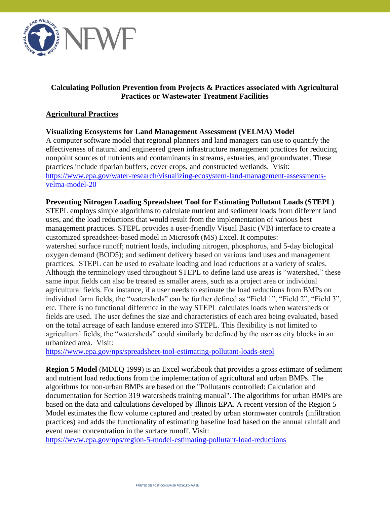

## **Calculating Pollution Prevention from Projects & Practices associated with Agricultural Practices or Wastewater Treatment Facilities**

### **Agricultural Practices**

### **Visualizing Ecosystems for Land Management Assessment (VELMA) Model**

A computer software model that regional planners and land managers can use to quantify the effectiveness of natural and engineered green infrastructure management practices for reducing nonpoint sources of nutrients and contaminants in streams, estuaries, and groundwater. These practices include riparian buffers, cover crops, and constructed wetlands. Visit: [https://www.epa.gov/water-research/visualizing-ecosystem-land-management-assessments](https://www.epa.gov/water-research/visualizing-ecosystem-land-management-assessments-velma-model-20)[velma-model-20](https://www.epa.gov/water-research/visualizing-ecosystem-land-management-assessments-velma-model-20)

### **Preventing Nitrogen Loading Spreadsheet Tool for Estimating Pollutant Loads (STEPL)**

STEPL employs simple algorithms to calculate nutrient and sediment loads from different land uses, and the load reductions that would result from the implementation of various best management practices. STEPL provides a user-friendly Visual Basic (VB) interface to create a customized spreadsheet-based model in Microsoft (MS) Excel. It computes:

watershed surface runoff; nutrient loads, including nitrogen, phosphorus, and 5-day biological oxygen demand (BOD5); and sediment delivery based on various land uses and management practices. STEPL can be used to evaluate loading and load reductions at a variety of scales. Although the terminology used throughout STEPL to define land use areas is "watershed," these same input fields can also be treated as smaller areas, such as a project area or individual agricultural fields. For instance, if a user needs to estimate the load reductions from BMPs on individual farm fields, the "watersheds" can be further defined as "Field 1", "Field 2", "Field 3", etc. There is no functional difference in the way STEPL calculates loads when watersheds or fields are used. The user defines the size and characteristics of each area being evaluated, based on the total acreage of each landuse entered into STEPL. This flexibility is not limited to agricultural fields, the "watersheds" could similarly be defined by the user as city blocks in an urbanized area. Visit:

<https://www.epa.gov/nps/spreadsheet-tool-estimating-pollutant-loads-stepl>

**Region 5 Model** (MDEO 1999) is an Excel workbook that provides a gross estimate of sediment and nutrient load reductions from the implementation of agricultural and urban BMPs. The algorithms for non-urban BMPs are based on the "Pollutants controlled: Calculation and documentation for Section 319 watersheds training manual". The algorithms for urban BMPs are based on the data and calculations developed by Illinois EPA. A recent version of the Region 5 Model estimates the flow volume captured and treated by urban stormwater controls (infiltration practices) and adds the functionality of estimating baseline load based on the annual rainfall and event mean concentration in the surface runoff. Visit:

<https://www.epa.gov/nps/region-5-model-estimating-pollutant-load-reductions>